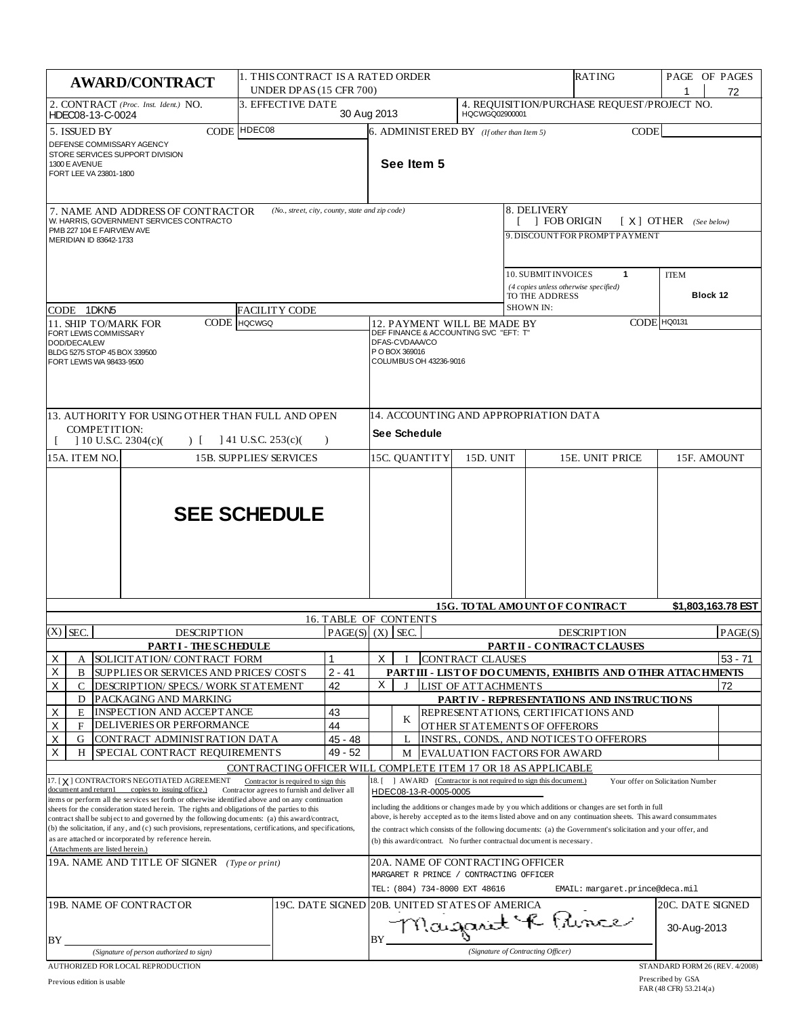|                                                                                                                                                                                                                                                                                                                                                                                                                                                                                                                                                                                                                                                                                                        | <b>AWARD/CONTRACT</b>                                                   | 1. THIS CONTRACT IS A RATED ORDER<br>UNDER DPAS (15 CFR 700)  |                                                                                                                                                                                                                                                                                                                                                                                                                                                                                                                                        |                                                                                                              |                     |  |                                                |                  | <b>RATING</b>                                                                  |             | PAGE OF PAGES                  | 72      |
|--------------------------------------------------------------------------------------------------------------------------------------------------------------------------------------------------------------------------------------------------------------------------------------------------------------------------------------------------------------------------------------------------------------------------------------------------------------------------------------------------------------------------------------------------------------------------------------------------------------------------------------------------------------------------------------------------------|-------------------------------------------------------------------------|---------------------------------------------------------------|----------------------------------------------------------------------------------------------------------------------------------------------------------------------------------------------------------------------------------------------------------------------------------------------------------------------------------------------------------------------------------------------------------------------------------------------------------------------------------------------------------------------------------------|--------------------------------------------------------------------------------------------------------------|---------------------|--|------------------------------------------------|------------------|--------------------------------------------------------------------------------|-------------|--------------------------------|---------|
| 2. CONTRACT (Proc. Inst. Ident.) NO.<br>HDEC08-13-C-0024                                                                                                                                                                                                                                                                                                                                                                                                                                                                                                                                                                                                                                               |                                                                         | 3. EFFECTIVE DATE                                             | 30 Aug 2013                                                                                                                                                                                                                                                                                                                                                                                                                                                                                                                            |                                                                                                              |                     |  | HQCWGQ02900001                                 |                  | 4. REQUISITION/PURCHASE REQUEST/PROJECT NO.                                    |             |                                |         |
| 5. ISSUED BY<br>DEFENSE COMMISSARY AGENCY<br>STORE SERVICES SUPPORT DIVISION<br>1300 E AVENUE<br>FORT LEE VA 23801-1800                                                                                                                                                                                                                                                                                                                                                                                                                                                                                                                                                                                |                                                                         | CODE HDEC08                                                   |                                                                                                                                                                                                                                                                                                                                                                                                                                                                                                                                        |                                                                                                              | See Item 5          |  | $6.$ ADMINISTERED BY (If other than Item 5)    |                  |                                                                                | <b>CODE</b> |                                |         |
| (No., street, city, county, state and zip code)<br>7. NAME AND ADDRESS OF CONTRACTOR<br>W. HARRIS, GOVERNMENT SERVICES CONTRACTO                                                                                                                                                                                                                                                                                                                                                                                                                                                                                                                                                                       |                                                                         |                                                               |                                                                                                                                                                                                                                                                                                                                                                                                                                                                                                                                        |                                                                                                              |                     |  |                                                |                  | 8. DELIVERY<br><b>FOB ORIGIN</b>                                               |             | $[X]$ OTHER (See below)        |         |
| PMB 227 104 E FAIRVIEW AVE<br>MERIDIAN ID 83642-1733                                                                                                                                                                                                                                                                                                                                                                                                                                                                                                                                                                                                                                                   |                                                                         |                                                               |                                                                                                                                                                                                                                                                                                                                                                                                                                                                                                                                        |                                                                                                              |                     |  |                                                |                  | 9. DISCOUNTFOR PROMPTPAYMENT                                                   |             |                                |         |
| CODE 1DKN5                                                                                                                                                                                                                                                                                                                                                                                                                                                                                                                                                                                                                                                                                             |                                                                         | <b>FACILITY CODE</b>                                          |                                                                                                                                                                                                                                                                                                                                                                                                                                                                                                                                        |                                                                                                              |                     |  |                                                | <b>SHOWN IN:</b> | 10. SUBMIT INVOICES<br>(4 copies unless otherwise specified)<br>TO THE ADDRESS | 1           | <b>ITEM</b><br>Block 12        |         |
| 11. SHIP TO/MARK FOR                                                                                                                                                                                                                                                                                                                                                                                                                                                                                                                                                                                                                                                                                   | <b>CODE</b>                                                             | <b>HQCWGQ</b>                                                 |                                                                                                                                                                                                                                                                                                                                                                                                                                                                                                                                        |                                                                                                              |                     |  | 12. PAYMENT WILL BE MADE BY                    |                  |                                                                                |             | CODE HQ0131                    |         |
| DEF FINANCE & ACCOUNTING SVC "EFT: T"<br>FORT LEWIS COMMISSARY<br>DFAS-CVDAAA/CO<br>DOD/DECA/LEW<br>P O BOX 369016<br>BLDG 5275 STOP 45 BOX 339500<br>COLUMBUS OH 43236-9016<br>FORT LEWIS WA 98433-9500                                                                                                                                                                                                                                                                                                                                                                                                                                                                                               |                                                                         |                                                               |                                                                                                                                                                                                                                                                                                                                                                                                                                                                                                                                        |                                                                                                              |                     |  |                                                |                  |                                                                                |             |                                |         |
| COMPETITION:                                                                                                                                                                                                                                                                                                                                                                                                                                                                                                                                                                                                                                                                                           | 13. AUTHORITY FOR USING OTHER THAN FULL AND OPEN                        |                                                               |                                                                                                                                                                                                                                                                                                                                                                                                                                                                                                                                        |                                                                                                              | <b>See Schedule</b> |  |                                                |                  | 14. ACCOUNTING AND APPROPRIATION DATA                                          |             |                                |         |
| $10$ U.S.C. 2304(c)(<br>$141$ U.S.C. 253(c)(<br>$\overline{)}$<br>$\lambda$<br>15A. ITEM NO.<br><b>15B. SUPPLIES/SERVICES</b>                                                                                                                                                                                                                                                                                                                                                                                                                                                                                                                                                                          |                                                                         |                                                               |                                                                                                                                                                                                                                                                                                                                                                                                                                                                                                                                        | 15C. QUANTITY<br>15D. UNIT<br>15E. UNIT PRICE<br>15F. AMOUNT                                                 |                     |  |                                                |                  |                                                                                |             |                                |         |
| <b>SEE SCHEDULE</b>                                                                                                                                                                                                                                                                                                                                                                                                                                                                                                                                                                                                                                                                                    |                                                                         |                                                               |                                                                                                                                                                                                                                                                                                                                                                                                                                                                                                                                        |                                                                                                              |                     |  |                                                |                  |                                                                                |             |                                |         |
|                                                                                                                                                                                                                                                                                                                                                                                                                                                                                                                                                                                                                                                                                                        |                                                                         |                                                               |                                                                                                                                                                                                                                                                                                                                                                                                                                                                                                                                        | 15G. TO TAL AMOUNT OF CONTRACT<br>\$1,803,163.78 EST<br>16. TABLE OF CONTENTS                                |                     |  |                                                |                  |                                                                                |             |                                |         |
| $(X)$ SEC.                                                                                                                                                                                                                                                                                                                                                                                                                                                                                                                                                                                                                                                                                             | <b>DESCRIPTION</b>                                                      |                                                               |                                                                                                                                                                                                                                                                                                                                                                                                                                                                                                                                        | PAGE(S)   (X)   SEC.<br><b>DESCRIPTION</b><br>PAGE(S)                                                        |                     |  |                                                |                  |                                                                                |             |                                |         |
|                                                                                                                                                                                                                                                                                                                                                                                                                                                                                                                                                                                                                                                                                                        | <b>PARTI - THESCHEDULE</b>                                              |                                                               |                                                                                                                                                                                                                                                                                                                                                                                                                                                                                                                                        | X                                                                                                            |                     |  |                                                |                  | PARTII - CONTRACT CLAUSES                                                      |             |                                |         |
| Х<br>А<br>Х<br>В                                                                                                                                                                                                                                                                                                                                                                                                                                                                                                                                                                                                                                                                                       | SOLICIT AT ION/ CONTRACT FORM<br>SUPPLIES OR SERVICES AND PRICES/ COSTS |                                                               | $2 - 41$                                                                                                                                                                                                                                                                                                                                                                                                                                                                                                                               |                                                                                                              |                     |  | <b>CONTRACT CLAUSES</b>                        |                  | PART III - LIST OF DOCUMENTS, EXHIBITS AND OTHER ATTACHMENTS                   |             |                                | 53 - 71 |
| X<br>С                                                                                                                                                                                                                                                                                                                                                                                                                                                                                                                                                                                                                                                                                                 | DESCRIPTION/ SPECS./ WORK STATEMENT                                     |                                                               | 42                                                                                                                                                                                                                                                                                                                                                                                                                                                                                                                                     | X                                                                                                            | $\bf{I}$            |  | LIST OF ATTACHMENTS                            |                  |                                                                                |             |                                | 72      |
| D                                                                                                                                                                                                                                                                                                                                                                                                                                                                                                                                                                                                                                                                                                      | PACKAGING AND MARKING                                                   |                                                               |                                                                                                                                                                                                                                                                                                                                                                                                                                                                                                                                        |                                                                                                              |                     |  |                                                |                  | PARTIV - REPRESENTATIONS AND INSTRUCTIONS                                      |             |                                |         |
| Х<br>E<br>Χ<br>F                                                                                                                                                                                                                                                                                                                                                                                                                                                                                                                                                                                                                                                                                       | INSPECTION AND ACCEPTANCE<br>DELIVERIES OR PERFORMANCE                  |                                                               | 43<br>44                                                                                                                                                                                                                                                                                                                                                                                                                                                                                                                               |                                                                                                              | K                   |  |                                                |                  | REPRESENT ATIONS, CERTIFICATIONS AND<br>OTHER STATEMENTS OF OFFERORS           |             |                                |         |
| Χ<br>G                                                                                                                                                                                                                                                                                                                                                                                                                                                                                                                                                                                                                                                                                                 | CONTRACT ADMINISTRATION DATA                                            |                                                               | $45 - 48$                                                                                                                                                                                                                                                                                                                                                                                                                                                                                                                              |                                                                                                              | L                   |  |                                                |                  | INSTRS., CONDS., AND NOTICES TO OFFERORS                                       |             |                                |         |
| X<br>H                                                                                                                                                                                                                                                                                                                                                                                                                                                                                                                                                                                                                                                                                                 | SPECIAL CONTRACT REQUIREMENTS                                           |                                                               | 49 - 52                                                                                                                                                                                                                                                                                                                                                                                                                                                                                                                                |                                                                                                              | M                   |  |                                                |                  | <b>EVALUATION FACTORS FOR AWARD</b>                                            |             |                                |         |
|                                                                                                                                                                                                                                                                                                                                                                                                                                                                                                                                                                                                                                                                                                        |                                                                         | CONTRACTING OFFICER WILL COMPLETE ITEM 17 OR 18 AS APPLICABLE |                                                                                                                                                                                                                                                                                                                                                                                                                                                                                                                                        | 18. [                                                                                                        |                     |  |                                                |                  |                                                                                |             |                                |         |
| 17. [X] CONTRACTOR'S NEGOTIATED AGREEMENT<br>Contractor is required to sign this<br>document and return1 copies to issuing office.)<br>Contractor agrees to furnish and deliver all<br>items or perform all the services set forth or otherwise identified above and on any continuation<br>sheets for the consideration stated herein. The rights and obligations of the parties to this<br>contract shall be subject to and governed by the following documents: (a) this award/contract,<br>(b) the solicitation, if any, and (c) such provisions, representations, certifications, and specifications,<br>as are attached or incorporated by reference herein.<br>(Attachments are listed herein.) |                                                                         |                                                               | AWARD (Contractor is not required to sign this document.)<br>Your offer on Solicitation Number<br>HDEC08-13-R-0005-0005<br>including the additions or changes made by you which additions or changes are set forth in full<br>above, is hereby accepted as to the items listed above and on any continuation sheets. This award consummates<br>the contract which consists of the following documents: (a) the Government's solicitation and your offer, and<br>(b) this award/contract. No further contractual document is necessary. |                                                                                                              |                     |  |                                                |                  |                                                                                |             |                                |         |
| 19A. NAME AND TITLE OF SIGNER (Type or print)                                                                                                                                                                                                                                                                                                                                                                                                                                                                                                                                                                                                                                                          |                                                                         |                                                               |                                                                                                                                                                                                                                                                                                                                                                                                                                                                                                                                        | 20A. NAME OF CONTRACTING OFFICER<br>MARGARET R PRINCE / CONTRACTING OFFICER<br>TEL: (804) 734-8000 EXT 48616 |                     |  |                                                |                  |                                                                                |             |                                |         |
| 19B. NAME OF CONTRACTOR                                                                                                                                                                                                                                                                                                                                                                                                                                                                                                                                                                                                                                                                                |                                                                         |                                                               |                                                                                                                                                                                                                                                                                                                                                                                                                                                                                                                                        |                                                                                                              |                     |  | 19C. DATE SIGNED 20B. UNITED STATES OF AMERICA |                  | EMAIL: margaret.prince@deca.mil                                                |             | 20C. DATE SIGNED               |         |
| BY                                                                                                                                                                                                                                                                                                                                                                                                                                                                                                                                                                                                                                                                                                     |                                                                         |                                                               |                                                                                                                                                                                                                                                                                                                                                                                                                                                                                                                                        | BY                                                                                                           |                     |  |                                                |                  | Magarit & Pince                                                                |             | 30-Aug-2013                    |         |
|                                                                                                                                                                                                                                                                                                                                                                                                                                                                                                                                                                                                                                                                                                        | (Signature of person authorized to sign)                                |                                                               |                                                                                                                                                                                                                                                                                                                                                                                                                                                                                                                                        |                                                                                                              |                     |  |                                                |                  | (Signature of Contracting Officer)                                             |             |                                |         |
| AUTHORIZED FOR LOCAL REPRODUCTION                                                                                                                                                                                                                                                                                                                                                                                                                                                                                                                                                                                                                                                                      |                                                                         |                                                               |                                                                                                                                                                                                                                                                                                                                                                                                                                                                                                                                        |                                                                                                              |                     |  |                                                |                  |                                                                                |             | STANDARD FORM 26 (REV. 4/2008) |         |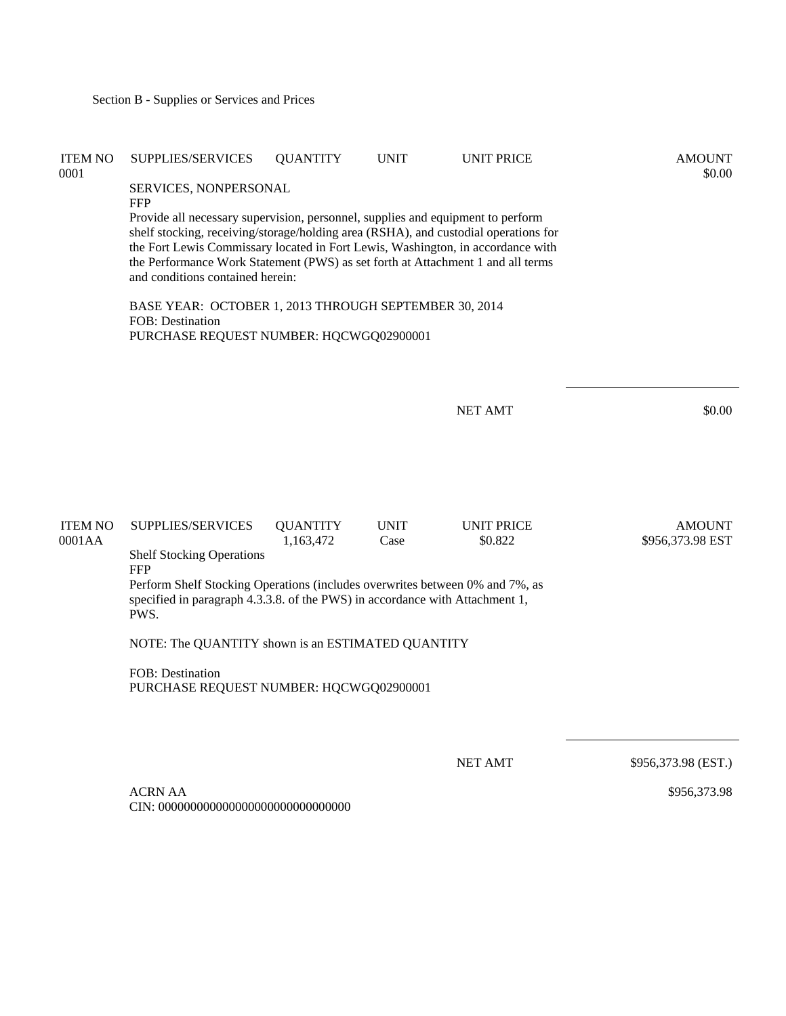| <b>ITEM NO</b><br>0001   | SUPPLIES/SERVICES                                                                                                                                                                                                                                                                                                                                                                | <b>QUANTITY</b>              | <b>UNIT</b>         | <b>UNIT PRICE</b>            | <b>AMOUNT</b><br>\$0.00           |  |  |  |
|--------------------------|----------------------------------------------------------------------------------------------------------------------------------------------------------------------------------------------------------------------------------------------------------------------------------------------------------------------------------------------------------------------------------|------------------------------|---------------------|------------------------------|-----------------------------------|--|--|--|
|                          | SERVICES, NONPERSONAL<br><b>FFP</b>                                                                                                                                                                                                                                                                                                                                              |                              |                     |                              |                                   |  |  |  |
|                          | Provide all necessary supervision, personnel, supplies and equipment to perform<br>shelf stocking, receiving/storage/holding area (RSHA), and custodial operations for<br>the Fort Lewis Commissary located in Fort Lewis, Washington, in accordance with<br>the Performance Work Statement (PWS) as set forth at Attachment 1 and all terms<br>and conditions contained herein: |                              |                     |                              |                                   |  |  |  |
|                          | BASE YEAR: OCTOBER 1, 2013 THROUGH SEPTEMBER 30, 2014<br><b>FOB</b> : Destination<br>PURCHASE REQUEST NUMBER: HQCWGQ02900001                                                                                                                                                                                                                                                     |                              |                     |                              |                                   |  |  |  |
|                          |                                                                                                                                                                                                                                                                                                                                                                                  |                              |                     |                              |                                   |  |  |  |
|                          |                                                                                                                                                                                                                                                                                                                                                                                  |                              |                     | <b>NET AMT</b>               | \$0.00                            |  |  |  |
|                          |                                                                                                                                                                                                                                                                                                                                                                                  |                              |                     |                              |                                   |  |  |  |
| <b>ITEM NO</b><br>0001AA | <b>SUPPLIES/SERVICES</b>                                                                                                                                                                                                                                                                                                                                                         | <b>QUANTITY</b><br>1,163,472 | <b>UNIT</b><br>Case | <b>UNIT PRICE</b><br>\$0.822 | <b>AMOUNT</b><br>\$956,373.98 EST |  |  |  |
|                          | <b>Shelf Stocking Operations</b><br><b>FFP</b>                                                                                                                                                                                                                                                                                                                                   |                              |                     |                              |                                   |  |  |  |
|                          | Perform Shelf Stocking Operations (includes overwrites between 0% and 7%, as<br>specified in paragraph 4.3.3.8. of the PWS) in accordance with Attachment 1,<br>PWS.                                                                                                                                                                                                             |                              |                     |                              |                                   |  |  |  |
|                          | NOTE: The QUANTITY shown is an ESTIMATED QUANTITY                                                                                                                                                                                                                                                                                                                                |                              |                     |                              |                                   |  |  |  |
|                          | <b>FOB</b> : Destination<br>PURCHASE REQUEST NUMBER: HQCWGQ02900001                                                                                                                                                                                                                                                                                                              |                              |                     |                              |                                   |  |  |  |
|                          |                                                                                                                                                                                                                                                                                                                                                                                  |                              |                     |                              |                                   |  |  |  |
|                          |                                                                                                                                                                                                                                                                                                                                                                                  |                              |                     | <b>NET AMT</b>               | \$956,373.98 (EST.)               |  |  |  |
|                          | <b>ACRN AA</b>                                                                                                                                                                                                                                                                                                                                                                   |                              |                     |                              | \$956,373.98                      |  |  |  |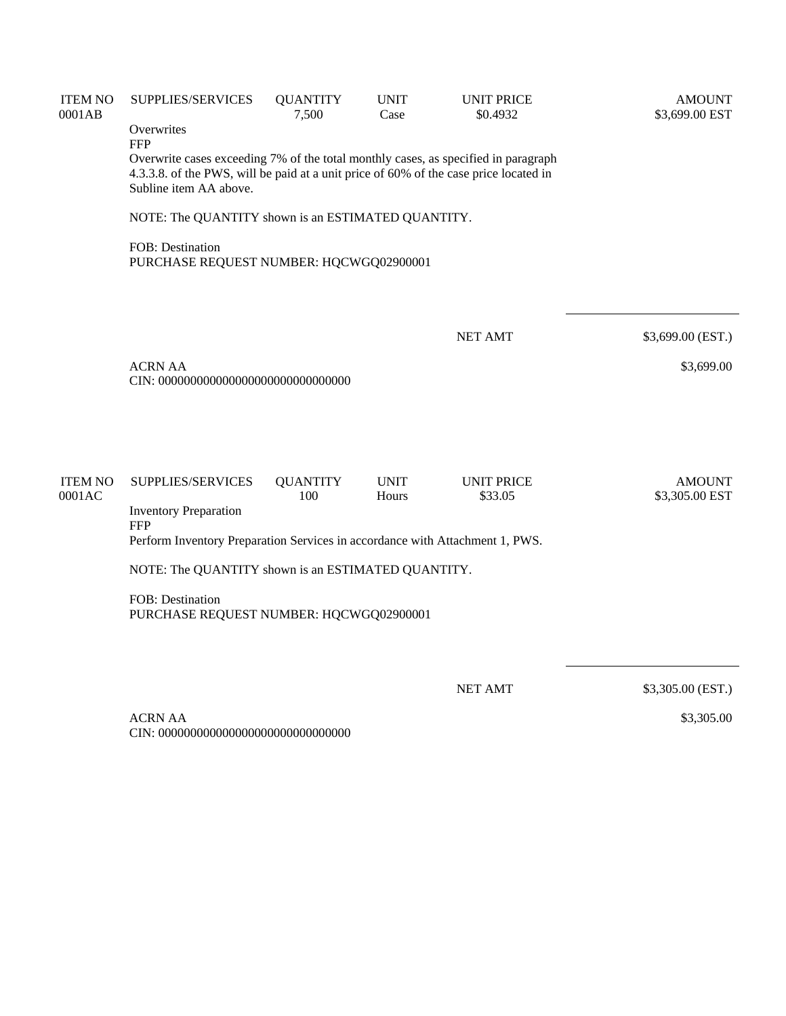| <b>ITEM NO</b><br>0001AB | <b>SUPPLIES/SERVICES</b><br>Overwrites                                                                                                                                                                              | <b>QUANTITY</b><br>7,500 | <b>UNIT</b><br>Case  | <b>UNIT PRICE</b><br>\$0.4932 | <b>AMOUNT</b><br>\$3,699.00 EST |  |  |  |
|--------------------------|---------------------------------------------------------------------------------------------------------------------------------------------------------------------------------------------------------------------|--------------------------|----------------------|-------------------------------|---------------------------------|--|--|--|
|                          | <b>FFP</b><br>Overwrite cases exceeding 7% of the total monthly cases, as specified in paragraph<br>4.3.3.8. of the PWS, will be paid at a unit price of 60% of the case price located in<br>Subline item AA above. |                          |                      |                               |                                 |  |  |  |
|                          | NOTE: The QUANTITY shown is an ESTIMATED QUANTITY.                                                                                                                                                                  |                          |                      |                               |                                 |  |  |  |
|                          | FOB: Destination<br>PURCHASE REQUEST NUMBER: HQCWGQ02900001                                                                                                                                                         |                          |                      |                               |                                 |  |  |  |
|                          |                                                                                                                                                                                                                     |                          |                      |                               |                                 |  |  |  |
|                          |                                                                                                                                                                                                                     |                          |                      | <b>NET AMT</b>                | \$3,699.00 (EST.)               |  |  |  |
|                          | <b>ACRN AA</b>                                                                                                                                                                                                      |                          |                      |                               | \$3,699.00                      |  |  |  |
|                          |                                                                                                                                                                                                                     |                          |                      |                               |                                 |  |  |  |
| <b>ITEM NO</b><br>0001AC | SUPPLIES/SERVICES                                                                                                                                                                                                   | <b>QUANTITY</b><br>100   | <b>UNIT</b><br>Hours | <b>UNIT PRICE</b><br>\$33.05  | <b>AMOUNT</b><br>\$3,305.00 EST |  |  |  |
|                          | <b>Inventory Preparation</b><br><b>FFP</b>                                                                                                                                                                          |                          |                      |                               |                                 |  |  |  |
|                          | Perform Inventory Preparation Services in accordance with Attachment 1, PWS.                                                                                                                                        |                          |                      |                               |                                 |  |  |  |
|                          | NOTE: The QUANTITY shown is an ESTIMATED QUANTITY.                                                                                                                                                                  |                          |                      |                               |                                 |  |  |  |
|                          | FOB: Destination<br>PURCHASE REQUEST NUMBER: HQCWGQ02900001                                                                                                                                                         |                          |                      |                               |                                 |  |  |  |
|                          |                                                                                                                                                                                                                     |                          |                      |                               |                                 |  |  |  |
|                          |                                                                                                                                                                                                                     |                          |                      | <b>NET AMT</b>                | \$3,305.00 (EST.)               |  |  |  |

\$3,305.00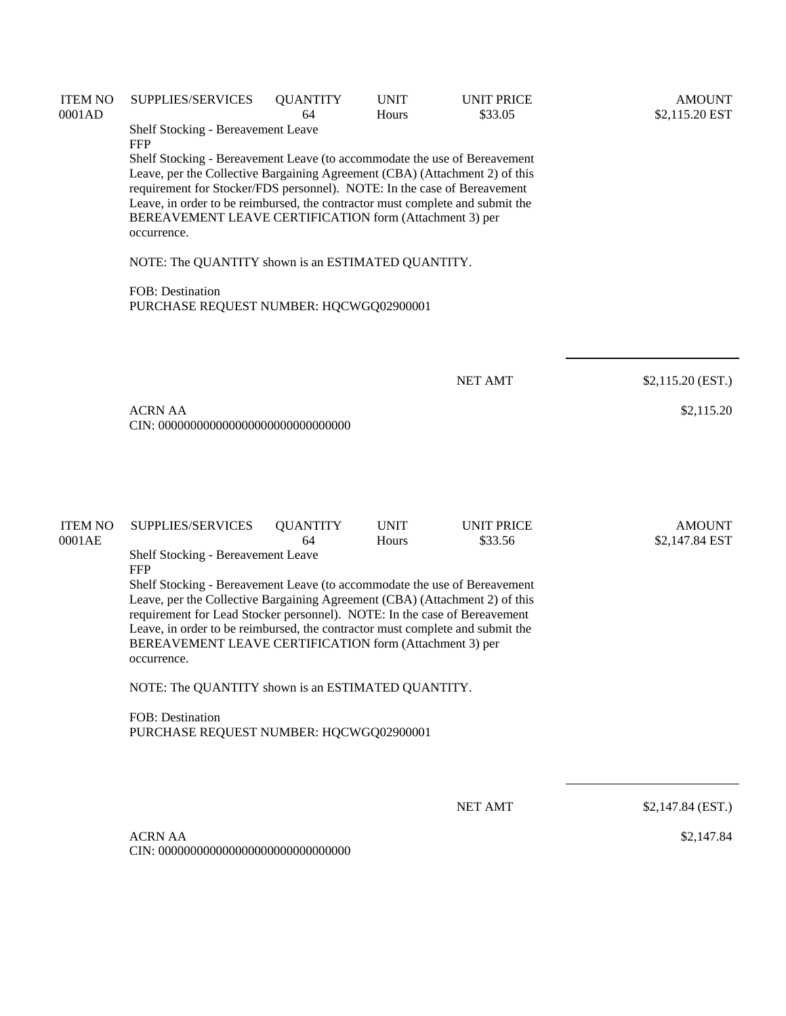| <b>ITEM NO</b><br>0001AD | <b>SUPPLIES/SERVICES</b><br>Shelf Stocking - Bereavement Leave<br><b>FFP</b><br>Shelf Stocking - Bereavement Leave (to accommodate the use of Bereavement<br>Leave, per the Collective Bargaining Agreement (CBA) (Attachment 2) of this<br>requirement for Stocker/FDS personnel). NOTE: In the case of Bereavement<br>Leave, in order to be reimbursed, the contractor must complete and submit the<br>BEREAVEMENT LEAVE CERTIFICATION form (Attachment 3) per<br>occurrence.<br>NOTE: The QUANTITY shown is an ESTIMATED QUANTITY.<br><b>FOB:</b> Destination                                                                                                                | <b>QUANTITY</b><br>64 | <b>UNIT</b><br>Hours | <b>UNIT PRICE</b><br>\$33.05 | <b>AMOUNT</b><br>\$2,115.20 EST |
|--------------------------|---------------------------------------------------------------------------------------------------------------------------------------------------------------------------------------------------------------------------------------------------------------------------------------------------------------------------------------------------------------------------------------------------------------------------------------------------------------------------------------------------------------------------------------------------------------------------------------------------------------------------------------------------------------------------------|-----------------------|----------------------|------------------------------|---------------------------------|
|                          | PURCHASE REQUEST NUMBER: HQCWGQ02900001<br><b>ACRN AA</b>                                                                                                                                                                                                                                                                                                                                                                                                                                                                                                                                                                                                                       |                       |                      | <b>NET AMT</b>               | \$2,115.20 (EST.)<br>\$2,115.20 |
| <b>ITEM NO</b><br>0001AE | SUPPLIES/SERVICES<br><b>UNIT</b><br><b>UNIT PRICE</b><br><b>QUANTITY</b><br>64<br>Hours<br>\$33.56<br>Shelf Stocking - Bereavement Leave<br><b>FFP</b><br>Shelf Stocking - Bereavement Leave (to accommodate the use of Bereavement<br>Leave, per the Collective Bargaining Agreement (CBA) (Attachment 2) of this<br>requirement for Lead Stocker personnel). NOTE: In the case of Bereavement<br>Leave, in order to be reimbursed, the contractor must complete and submit the<br>BEREAVEMENT LEAVE CERTIFICATION form (Attachment 3) per<br>occurrence.<br>NOTE: The QUANTITY shown is an ESTIMATED QUANTITY.<br>FOB: Destination<br>PURCHASE REQUEST NUMBER: HQCWGQ02900001 |                       |                      |                              | <b>AMOUNT</b><br>\$2,147.84 EST |
|                          | <b>ACRN AA</b>                                                                                                                                                                                                                                                                                                                                                                                                                                                                                                                                                                                                                                                                  |                       |                      | <b>NET AMT</b>               | \$2,147.84 (EST.)<br>\$2,147.84 |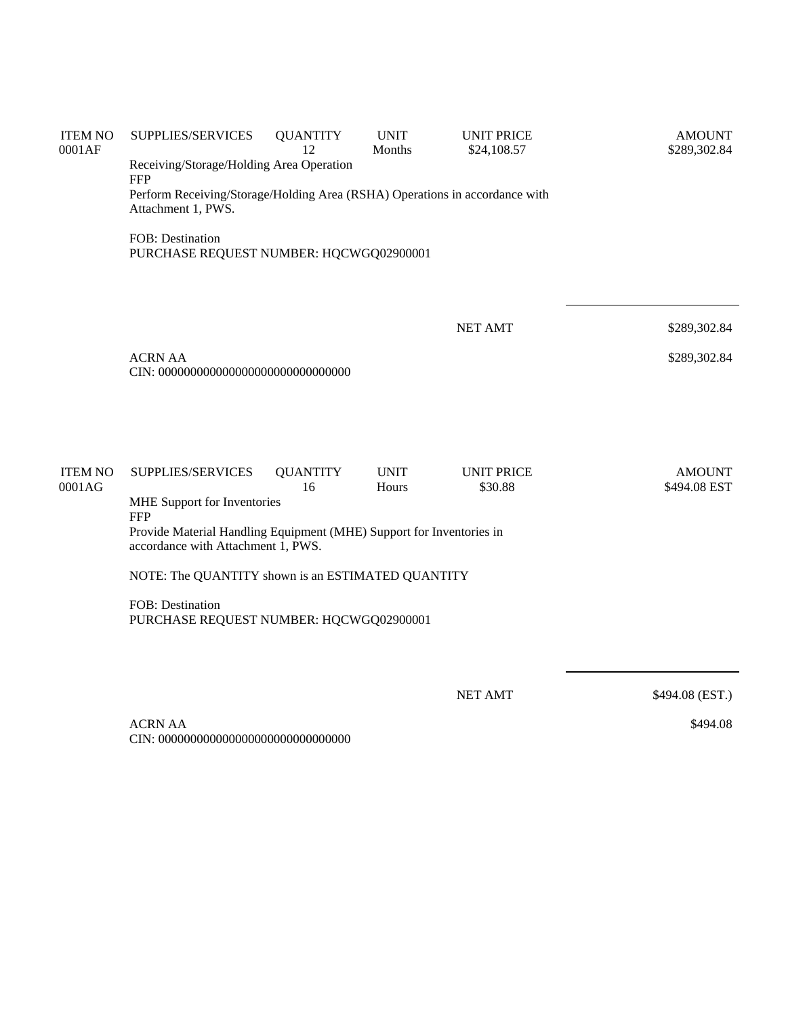| <b>ITEM NO</b><br>0001AF | SUPPLIES/SERVICES<br>Receiving/Storage/Holding Area Operation<br><b>FFP</b><br>Perform Receiving/Storage/Holding Area (RSHA) Operations in accordance with<br>Attachment 1, PWS. | <b>QUANTITY</b><br>12 | <b>UNIT</b><br>Months | <b>UNIT PRICE</b><br>\$24,108.57 | <b>AMOUNT</b><br>\$289,302.84 |  |  |
|--------------------------|----------------------------------------------------------------------------------------------------------------------------------------------------------------------------------|-----------------------|-----------------------|----------------------------------|-------------------------------|--|--|
|                          | FOB: Destination<br>PURCHASE REQUEST NUMBER: HQCWGQ02900001                                                                                                                      |                       |                       |                                  |                               |  |  |
|                          |                                                                                                                                                                                  |                       |                       | <b>NET AMT</b>                   | \$289,302.84                  |  |  |
|                          | <b>ACRN AA</b>                                                                                                                                                                   |                       |                       |                                  | \$289,302.84                  |  |  |
|                          |                                                                                                                                                                                  |                       |                       |                                  |                               |  |  |
| <b>ITEM NO</b><br>0001AG | SUPPLIES/SERVICES<br>MHE Support for Inventories<br><b>FFP</b>                                                                                                                   | <b>QUANTITY</b><br>16 | <b>UNIT</b><br>Hours  | <b>UNIT PRICE</b><br>\$30.88     | <b>AMOUNT</b><br>\$494.08 EST |  |  |
|                          | Provide Material Handling Equipment (MHE) Support for Inventories in<br>accordance with Attachment 1, PWS.                                                                       |                       |                       |                                  |                               |  |  |
|                          | NOTE: The QUANTITY shown is an ESTIMATED QUANTITY                                                                                                                                |                       |                       |                                  |                               |  |  |
|                          | FOB: Destination<br>PURCHASE REQUEST NUMBER: HQCWGQ02900001                                                                                                                      |                       |                       |                                  |                               |  |  |
|                          |                                                                                                                                                                                  |                       |                       | <b>NET AMT</b>                   | \$494.08 (EST.)               |  |  |

\$494.08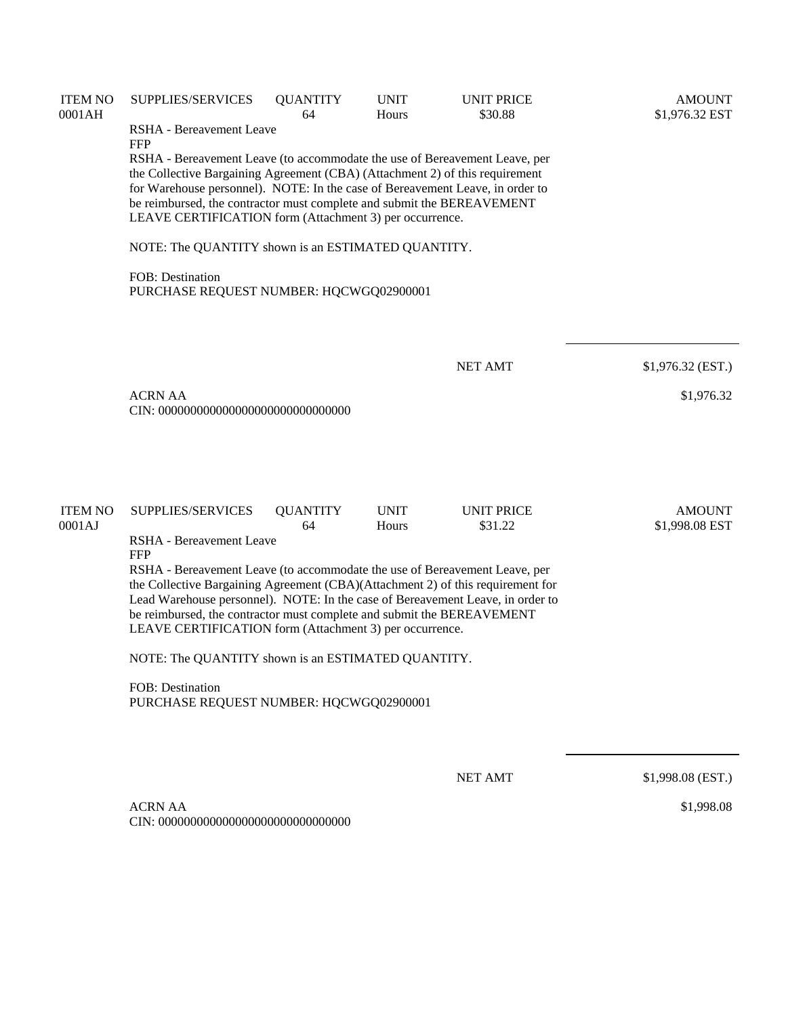| <b>ITEM NO</b><br>0001AH | SUPPLIES/SERVICES                                                                                                                                                                                                                                                                                                                                                                                                              | <b>QUANTITY</b><br>64 | <b>UNIT</b><br>Hours | <b>UNIT PRICE</b><br>\$30.88 | <b>AMOUNT</b><br>\$1,976.32 EST |  |  |  |  |  |
|--------------------------|--------------------------------------------------------------------------------------------------------------------------------------------------------------------------------------------------------------------------------------------------------------------------------------------------------------------------------------------------------------------------------------------------------------------------------|-----------------------|----------------------|------------------------------|---------------------------------|--|--|--|--|--|
|                          | RSHA - Bereavement Leave<br><b>FFP</b>                                                                                                                                                                                                                                                                                                                                                                                         |                       |                      |                              |                                 |  |  |  |  |  |
|                          | RSHA - Bereavement Leave (to accommodate the use of Bereavement Leave, per<br>the Collective Bargaining Agreement (CBA) (Attachment 2) of this requirement<br>for Warehouse personnel). NOTE: In the case of Bereavement Leave, in order to<br>be reimbursed, the contractor must complete and submit the BEREAVEMENT<br>LEAVE CERTIFICATION form (Attachment 3) per occurrence.                                               |                       |                      |                              |                                 |  |  |  |  |  |
|                          | NOTE: The QUANTITY shown is an ESTIMATED QUANTITY.                                                                                                                                                                                                                                                                                                                                                                             |                       |                      |                              |                                 |  |  |  |  |  |
|                          | FOB: Destination<br>PURCHASE REQUEST NUMBER: HQCWGQ02900001                                                                                                                                                                                                                                                                                                                                                                    |                       |                      |                              |                                 |  |  |  |  |  |
|                          |                                                                                                                                                                                                                                                                                                                                                                                                                                |                       |                      | <b>NET AMT</b>               | $$1,976.32$ (EST.)              |  |  |  |  |  |
|                          | <b>ACRN AA</b>                                                                                                                                                                                                                                                                                                                                                                                                                 |                       |                      |                              | \$1,976.32                      |  |  |  |  |  |
| <b>ITEM NO</b><br>0001AJ | SUPPLIES/SERVICES                                                                                                                                                                                                                                                                                                                                                                                                              | <b>QUANTITY</b><br>64 | <b>UNIT</b><br>Hours | <b>UNIT PRICE</b><br>\$31.22 | <b>AMOUNT</b><br>\$1,998.08 EST |  |  |  |  |  |
|                          | RSHA - Bereavement Leave<br><b>FFP</b><br>RSHA - Bereavement Leave (to accommodate the use of Bereavement Leave, per<br>the Collective Bargaining Agreement (CBA)(Attachment 2) of this requirement for<br>Lead Warehouse personnel). NOTE: In the case of Bereavement Leave, in order to<br>be reimbursed, the contractor must complete and submit the BEREAVEMENT<br>LEAVE CERTIFICATION form (Attachment 3) per occurrence. |                       |                      |                              |                                 |  |  |  |  |  |
|                          | NOTE: The QUANTITY shown is an ESTIMATED QUANTITY.                                                                                                                                                                                                                                                                                                                                                                             |                       |                      |                              |                                 |  |  |  |  |  |
|                          | <b>FOB</b> : Destination<br>PURCHASE REQUEST NUMBER: HQCWGQ02900001                                                                                                                                                                                                                                                                                                                                                            |                       |                      |                              |                                 |  |  |  |  |  |
|                          |                                                                                                                                                                                                                                                                                                                                                                                                                                |                       |                      | <b>NET AMT</b>               | \$1,998.08 (EST.)               |  |  |  |  |  |
|                          | <b>ACRN AA</b>                                                                                                                                                                                                                                                                                                                                                                                                                 |                       |                      |                              | \$1,998.08                      |  |  |  |  |  |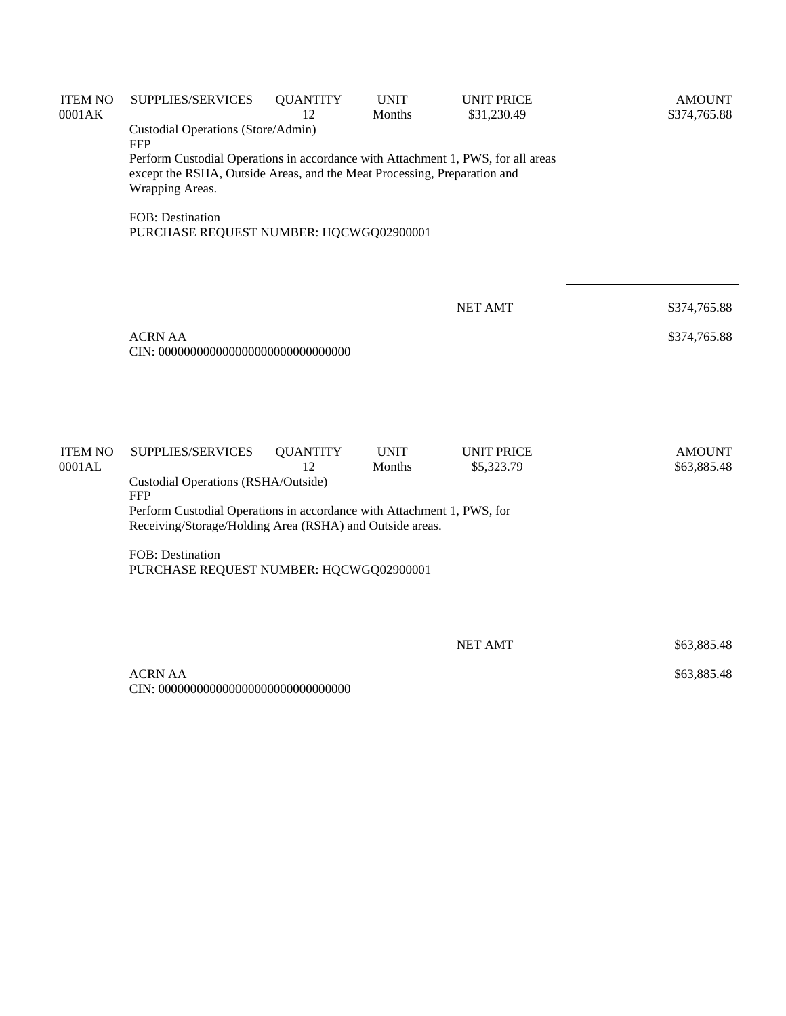| <b>ITEM NO</b><br>0001AK | SUPPLIES/SERVICES                                                                                                                                                               | <b>QUANTITY</b><br>12 | <b>UNIT</b><br>Months | <b>UNIT PRICE</b><br>\$31,230.49 | <b>AMOUNT</b><br>\$374,765.88 |  |  |  |  |
|--------------------------|---------------------------------------------------------------------------------------------------------------------------------------------------------------------------------|-----------------------|-----------------------|----------------------------------|-------------------------------|--|--|--|--|
|                          | Custodial Operations (Store/Admin)<br><b>FFP</b>                                                                                                                                |                       |                       |                                  |                               |  |  |  |  |
|                          | Perform Custodial Operations in accordance with Attachment 1, PWS, for all areas<br>except the RSHA, Outside Areas, and the Meat Processing, Preparation and<br>Wrapping Areas. |                       |                       |                                  |                               |  |  |  |  |
|                          | FOB: Destination<br>PURCHASE REQUEST NUMBER: HQCWGQ02900001                                                                                                                     |                       |                       |                                  |                               |  |  |  |  |
|                          |                                                                                                                                                                                 |                       |                       |                                  |                               |  |  |  |  |
|                          |                                                                                                                                                                                 |                       |                       | <b>NET AMT</b>                   | \$374,765.88                  |  |  |  |  |
|                          | <b>ACRN AA</b>                                                                                                                                                                  |                       |                       |                                  | \$374,765.88                  |  |  |  |  |
| <b>ITEM NO</b><br>0001AL | SUPPLIES/SERVICES<br>Custodial Operations (RSHA/Outside)<br><b>FFP</b>                                                                                                          | <b>QUANTITY</b><br>12 | <b>UNIT</b><br>Months | <b>UNIT PRICE</b><br>\$5,323.79  | <b>AMOUNT</b><br>\$63,885.48  |  |  |  |  |
|                          | Perform Custodial Operations in accordance with Attachment 1, PWS, for<br>Receiving/Storage/Holding Area (RSHA) and Outside areas.                                              |                       |                       |                                  |                               |  |  |  |  |
|                          | FOB: Destination<br>PURCHASE REQUEST NUMBER: HQCWGQ02900001                                                                                                                     |                       |                       |                                  |                               |  |  |  |  |
|                          |                                                                                                                                                                                 |                       |                       | <b>NET AMT</b>                   | \$63,885.48                   |  |  |  |  |
|                          | <b>ACRN AA</b>                                                                                                                                                                  |                       |                       |                                  | \$63,885.48                   |  |  |  |  |

CIN: 000000000000000000000000000000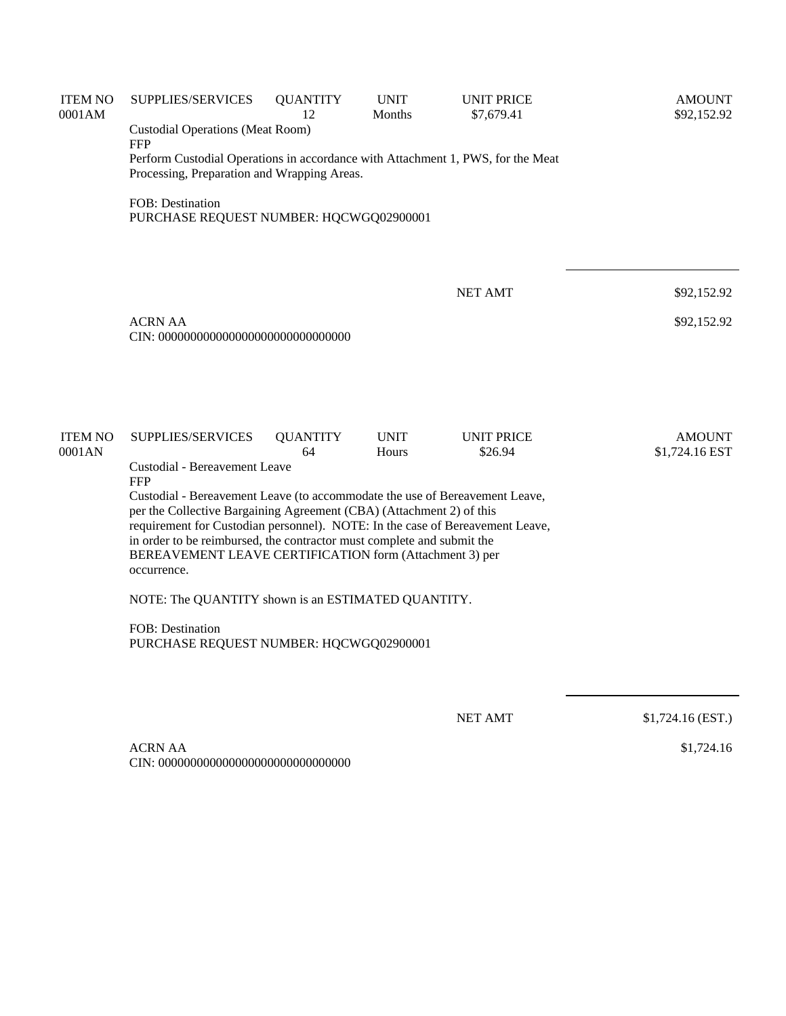| <b>ITEM NO</b><br>0001AM | SUPPLIES/SERVICES                                                                                                                                   | <b>QUANTITY</b><br>12 | <b>UNIT</b><br>Months | <b>UNIT PRICE</b><br>\$7,679.41 | <b>AMOUNT</b><br>\$92,152.92    |  |  |  |
|--------------------------|-----------------------------------------------------------------------------------------------------------------------------------------------------|-----------------------|-----------------------|---------------------------------|---------------------------------|--|--|--|
|                          | <b>Custodial Operations (Meat Room)</b><br><b>FFP</b>                                                                                               |                       |                       |                                 |                                 |  |  |  |
|                          | Perform Custodial Operations in accordance with Attachment 1, PWS, for the Meat<br>Processing, Preparation and Wrapping Areas.                      |                       |                       |                                 |                                 |  |  |  |
|                          | FOB: Destination<br>PURCHASE REQUEST NUMBER: HQCWGQ02900001                                                                                         |                       |                       |                                 |                                 |  |  |  |
|                          |                                                                                                                                                     |                       |                       | <b>NET AMT</b>                  | \$92,152.92                     |  |  |  |
|                          |                                                                                                                                                     |                       |                       |                                 |                                 |  |  |  |
|                          | <b>ACRN AA</b><br>\$92,152.92                                                                                                                       |                       |                       |                                 |                                 |  |  |  |
|                          |                                                                                                                                                     |                       |                       |                                 |                                 |  |  |  |
| <b>ITEM NO</b><br>0001AN | SUPPLIES/SERVICES                                                                                                                                   | <b>QUANTITY</b><br>64 | <b>UNIT</b><br>Hours  | <b>UNIT PRICE</b><br>\$26.94    | <b>AMOUNT</b><br>\$1,724.16 EST |  |  |  |
|                          | Custodial - Bereavement Leave<br><b>FFP</b>                                                                                                         |                       |                       |                                 |                                 |  |  |  |
|                          | Custodial - Bereavement Leave (to accommodate the use of Bereavement Leave,<br>per the Collective Bargaining Agreement (CBA) (Attachment 2) of this |                       |                       |                                 |                                 |  |  |  |
|                          | requirement for Custodian personnel). NOTE: In the case of Bereavement Leave,                                                                       |                       |                       |                                 |                                 |  |  |  |
|                          | in order to be reimbursed, the contractor must complete and submit the<br>BEREAVEMENT LEAVE CERTIFICATION form (Attachment 3) per<br>occurrence.    |                       |                       |                                 |                                 |  |  |  |
|                          | NOTE: The QUANTITY shown is an ESTIMATED QUANTITY.                                                                                                  |                       |                       |                                 |                                 |  |  |  |
|                          | FOB: Destination<br>PURCHASE REQUEST NUMBER: HQCWGQ02900001                                                                                         |                       |                       |                                 |                                 |  |  |  |
|                          |                                                                                                                                                     |                       |                       | <b>NET AMT</b>                  | $$1,724.16$ (EST.)              |  |  |  |

\$1,724.16